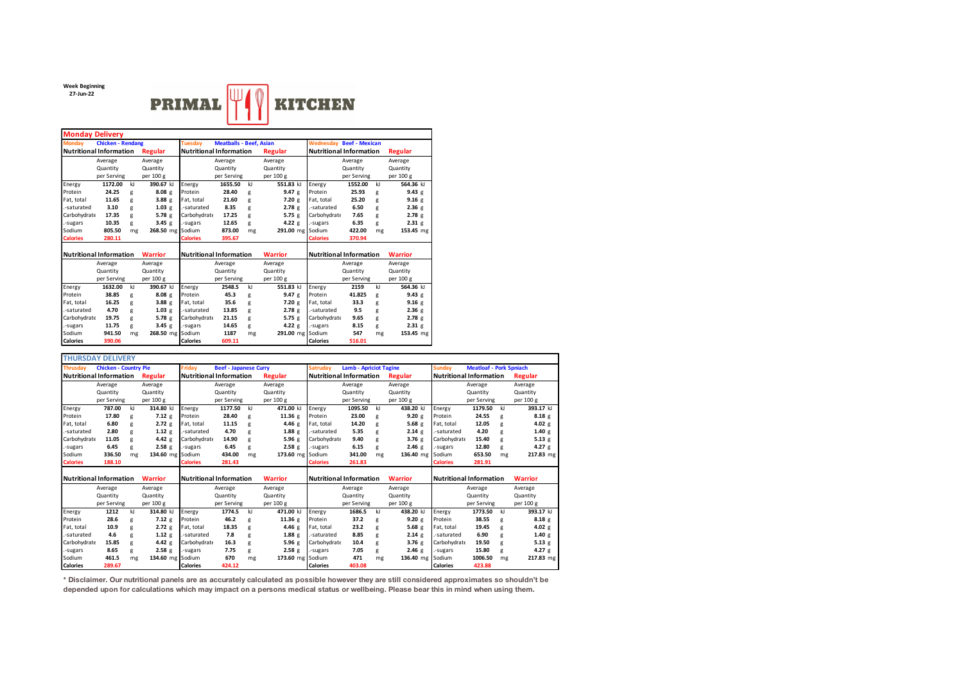**Week Beginning 27-Jun-22**



| <b>Monday Delivery</b>         |                          |         |                                |                                |                                |         |                                |                                 |             |              |                |  |  |
|--------------------------------|--------------------------|---------|--------------------------------|--------------------------------|--------------------------------|---------|--------------------------------|---------------------------------|-------------|--------------|----------------|--|--|
| <b>Monday</b>                  | <b>Chicken - Rendang</b> |         |                                | <b>Tuesdav</b>                 | <b>Meatballs - Beef, Asian</b> |         |                                | <b>Wednesday Beef - Mexican</b> |             |              |                |  |  |
| <b>Nutritional Information</b> |                          | Regular | <b>Nutritional Information</b> |                                |                                | Regular | <b>Nutritional Information</b> | <b>Regular</b>                  |             |              |                |  |  |
|                                | Average                  |         | Average                        |                                | Average                        |         | Average                        |                                 | Average     |              | Average        |  |  |
|                                | Quantity                 |         | Quantity                       |                                | Quantity                       |         | Quantity                       |                                 | Quantity    |              | Quantity       |  |  |
|                                | per Serving              |         | per 100 g                      |                                | per Serving                    |         | per 100 g                      |                                 | per Serving |              | per 100 g      |  |  |
| Energy                         | 1172.00                  | kl      | 390.67 kJ                      | Energy                         | 1655.50                        | kI      | 551.83 kJ                      | Energy                          | 1552.00     | $\mathbf{k}$ | 564.36 kl      |  |  |
| Protein                        | 24.25                    | g       | 8.08g                          | Protein                        | 28.40                          | g       | 9.47g                          | Protein                         | 25.93       | g            | 9.43 g         |  |  |
| Fat. total                     | 11.65                    | g       | 3.88 <sub>g</sub>              | Fat. total                     | 21.60                          | g       | 7.20 g                         | Fat, total                      | 25.20       | g            | 9.16g          |  |  |
| -saturated                     | 3.10                     | g       | 1.03 g                         | .-saturated                    | 8.35                           | g       | 2.78g                          | .-saturated                     | 6.50        | g            | 2.36g          |  |  |
| Carbohydrate                   | 17.35                    | g       | 5.78g                          | Carbohydrate                   | 17.25                          | g       | 5.75 $g$                       | Carbohydrate                    | 7.65        | g            | 2.78g          |  |  |
| -sugars                        | 10.35                    | g       | 3.45 $g$                       | .-sugars                       | 12.65                          | g       | 4.22 g                         | .-sugars                        | 6.35        | g            | 2.31 g         |  |  |
| Sodium                         | 805.50                   | mg      | 268.50 mg Sodium               |                                | 873.00                         | mg      | 291.00 mg                      | Sodium                          | 422.00      | mg           | 153.45 mg      |  |  |
| <b>Calories</b>                | 280.11                   |         |                                | <b>Calories</b>                | 395.67                         |         |                                | <b>Calories</b>                 | 370.94      |              |                |  |  |
|                                |                          |         |                                |                                |                                |         |                                |                                 |             |              |                |  |  |
| <b>Nutritional Information</b> |                          |         | <b>Warrior</b>                 | <b>Nutritional Information</b> |                                |         | <b>Warrior</b>                 | <b>Nutritional Information</b>  |             |              | <b>Warrior</b> |  |  |
|                                | Average                  |         | Average                        | Average                        |                                |         | Average                        | Average                         |             |              | Average        |  |  |
|                                | Quantity                 |         | Quantity                       |                                | Quantity                       |         | Quantity                       |                                 | Quantity    |              | Quantity       |  |  |
|                                | per Serving              |         | per 100 g                      |                                | per Serving                    |         | per 100 g                      |                                 | per Serving |              | per 100 g      |  |  |
| Energy                         | 1632.00                  | kI      | 390.67 kJ                      | Energy                         | 2548.5                         | kI      | 551.83 kJ                      | Energy                          | 2159        | $\mathbf{k}$ | 564.36 kJ      |  |  |
| Protein                        | 38.85                    | g       | 8.08 <sub>g</sub>              | Protein                        | 45.3                           | g       | 9.47g                          | Protein                         | 41.825      | g            | 9.43 g         |  |  |
| Fat. total                     | 16.25                    | g       | 3.88 <sub>g</sub>              | Fat. total                     | 35.6                           | g       | 7.20 g                         | Fat, total                      | 33.3        | g            | 9.16g          |  |  |
| -saturated                     | 4.70                     | g       | 1.03 g                         | .-saturated                    | 13.85                          | g       | 2.78g                          | .-saturated                     | 9.5         | g            | 2.36g          |  |  |
| Carbohydrate                   | 19.75                    | g       | 5.78g                          | Carbohydrate                   | 21.15                          | g       | 5.75 $g$                       | Carbohydrate                    | 9.65        | g            | 2.78g          |  |  |
| -sugars                        | 11.75                    | g       | 3.45g                          | .-sugars                       | 14.65                          | g       | 4.22 g                         | .-sugars                        | 8.15        | g            | 2.31 g         |  |  |
| Sodium                         | 941.50                   | mg      | 268.50 mg Sodium               |                                | 1187                           | mg      | 291.00 mg                      | Sodium                          | 547         | mg           | 153.45 mg      |  |  |
| <b>Calories</b>                | 390.06                   |         |                                | <b>Calories</b>                | 609.11                         |         |                                | <b>Calories</b>                 | 516.01      |              |                |  |  |

|                                | <b>THURSDAY DELIVERY</b>       |    |                   |                                |                                |    |                  |                                |                                |    |                |                                |                                |    |                |  |
|--------------------------------|--------------------------------|----|-------------------|--------------------------------|--------------------------------|----|------------------|--------------------------------|--------------------------------|----|----------------|--------------------------------|--------------------------------|----|----------------|--|
| <b>Thrusdav</b>                | <b>Chicken - Country Pie</b>   |    |                   | Friday                         | <b>Beef - Japanese Curry</b>   |    |                  | <b>Satrudav</b>                | <b>Lamb - Apriciot Tagine</b>  |    | <b>Sundav</b>  | <b>Meatloaf - Pork Spniach</b> |                                |    |                |  |
|                                | <b>Nutritional Information</b> |    | Regular           |                                | <b>Nutritional Information</b> |    | <b>Regular</b>   |                                | <b>Nutritional Information</b> |    | Regular        |                                | <b>Nutritional Information</b> |    | Regular        |  |
|                                | Average                        |    | Average           |                                | Average                        |    | Average          |                                | Average                        |    | Average        |                                | Average                        |    | Average        |  |
|                                | Quantity                       |    | Quantity          |                                | Quantity                       |    | Quantity         |                                | Quantity                       |    | Quantity       |                                | Quantity                       |    | Quantity       |  |
|                                | per Serving                    |    | per 100 g         |                                | per Serving                    |    | per 100 g        |                                | per Serving                    |    | per 100 g      |                                | per Serving                    |    | per 100 g      |  |
| Energy                         | 787.00                         | kJ | 314.80 kJ         | Energy                         | 1177.50                        | kJ | 471.00 kJ        | Energy                         | 1095.50                        | kI | 438.20 kJ      | Energy                         | 1179.50                        | kJ | 393.17 kJ      |  |
| Protein                        | 17.80                          | g  | 7.12 <sub>g</sub> | Protein                        | 28.40                          | g  | 11.36 g          | Protein                        | 23.00                          | g  | 9.20 g         | Protein                        | 24.55                          | g  | 8.18g          |  |
| Fat, total                     | 6.80                           | g  | 2.72e             | Fat, total                     | 11.15                          | g  | 4.46 g           | Fat, total                     | 14.20                          | g  | 5.68g          | Fat, total                     | 12.05                          | g  | 4.02 $g$       |  |
| -saturated                     | 2.80                           | g  | $1.12$ g          | -saturated                     | 4.70                           | g  | $1.88$ g         | -saturated                     | 5.35                           | g  | 2.14g          | -saturated                     | 4.20                           | g  | 1.40 g         |  |
| Carbohydrate                   | 11.05                          | g  | 4.42 g            | Carbohydrate                   | 14.90                          | g  | 5.96g            | Carbohydrate                   | 9.40                           | g  | 3.76g          | Carbohydrate                   | 15.40                          | g  | $5.13$ g       |  |
| -sugars                        | 6.45                           | g  | 2.58 <sub>g</sub> | -sugars                        | 6.45                           | g  | 2.58g            | -sugars                        | 6.15                           | g  | 2.46g          | -sugars                        | 12.80                          | g  | 4.27 g         |  |
| Sodium                         | 336.50                         | mg | 134.60 mg         | Sodium                         | 434.00                         | mg | 173.60 mg Sodium |                                | 341.00                         | mg | 136.40 mg      | Sodium                         | 653.50                         | mg | 217.83 mg      |  |
| <b>Calories</b>                | 188.10                         |    |                   | <b>Calories</b>                | 281.43                         |    |                  | <b>Calories</b>                | 261.83                         |    |                | <b>Calories</b>                | 281.91                         |    |                |  |
|                                |                                |    |                   |                                |                                |    |                  |                                |                                |    |                |                                |                                |    |                |  |
| <b>Nutritional Information</b> |                                |    | <b>Warrior</b>    | <b>Nutritional Information</b> |                                |    | <b>Warrior</b>   | <b>Nutritional Information</b> |                                |    | <b>Warrior</b> | <b>Nutritional Information</b> |                                |    | <b>Warrior</b> |  |
|                                | Average                        |    | Average           |                                | Average                        |    | Average          |                                | Average                        |    | Average        |                                | Average                        |    | Average        |  |
|                                | Quantity                       |    | Quantity          |                                | Quantity                       |    | Quantity         |                                | Quantity                       |    | Quantity       |                                | Quantity                       |    | Quantity       |  |
|                                | per Serving                    |    | per 100 g         |                                | per Serving                    |    | per 100 g        |                                | per Serving                    |    | per 100 g      |                                | per Serving                    |    | per 100 g      |  |
| Energy                         | 1212                           | kI | 314.80 kJ         | Energy                         | 1774.5                         | kJ | 471.00 kJ        | Energy                         | 1686.5                         | kJ | 438.20 kJ      | Energy                         | 1773.50                        | kJ | 393.17 kJ      |  |
| Protein                        | 28.6                           | g  | 7.12g             | Protein                        | 46.2                           | g  | 11.36 g          | Protein                        | 37.2                           | g  | 9.20 g         | Protein                        | 38.55                          | g  | 8.18g          |  |
| Fat, total                     | 10.9                           | g  | 2.72e             | Fat, total                     | 18.35                          | g  | 4.46 $g$         | Fat, total                     | 23.2                           | g  | 5.68g          | Fat, total                     | 19.45                          | g  | 4.02 $g$       |  |
| -saturated                     | 4.6                            | g  | $1.12$ g          | -saturated                     | 7.8                            | g  | 1.88g            | -saturated                     | 8.85                           | g  | 2.14g          | -saturated                     | 6.90                           | g  | 1.40 g         |  |
| Carbohydrate                   | 15.85                          | g  | 4.42 g            | Carbohydrate                   | 16.3                           | g  | 5.96g            | Carbohydrate                   | 10.4                           | g  | 3.76g          | Carbohydrate                   | 19.50                          | g  | $5.13$ g       |  |
| -sugars                        | 8.65                           | g  | 2.58 <sub>g</sub> | -sugars                        | 7.75                           | g  | 2.58g            | -sugars                        | 7.05                           | g  | 2.46g          | -sugars                        | 15.80                          | g  | 4.27 $g$       |  |
| Sodium                         | 461.5                          | mg | 134.60 mg Sodium  |                                | 670                            | mg | 173.60 mg Sodium |                                | 471                            | mg | 136.40 mg      | Sodium                         | 1006.50                        | mg | 217.83 mg      |  |
| <b>Calories</b>                | 289.67                         |    |                   | <b>Calories</b>                | 424.12                         |    |                  | <b>Calories</b>                | 403.08                         |    |                | <b>Calories</b>                | 423.88                         |    |                |  |

**\* Disclaimer. Our nutritional panels are as accurately calculated as possible however they are still considered approximates so shouldn't be depended upon for calculations which may impact on a persons medical status or wellbeing. Please bear this in mind when using them.**